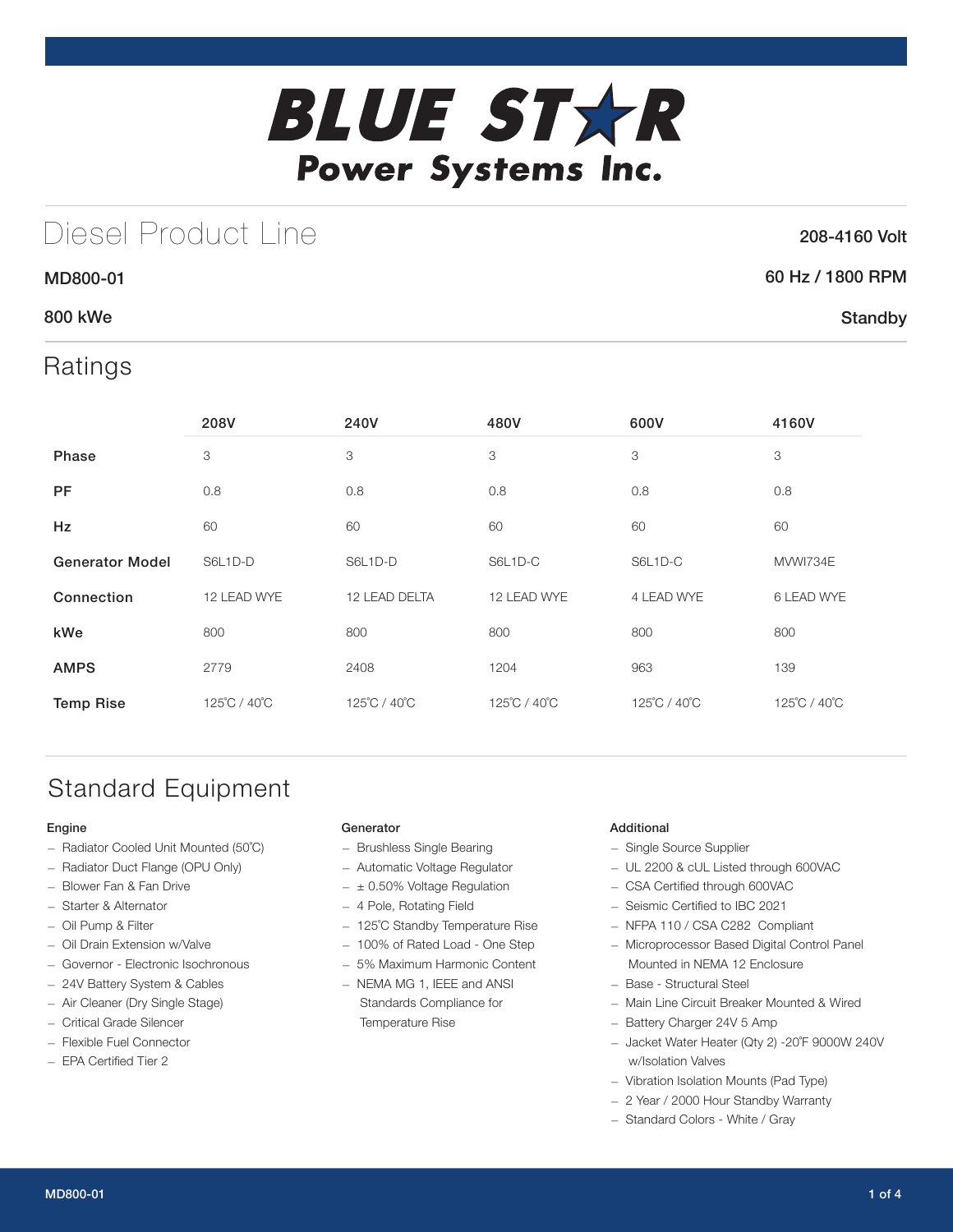

# Diesel Product Line

### 208-4160 Volt

**Standby** 

### 60 Hz / 1800 RPM

### 800 kWe

MD800-01

## Ratings

|                        | 208V         | 240V          | 480V         | 600V         | 4160V        |
|------------------------|--------------|---------------|--------------|--------------|--------------|
| Phase                  | 3            | 3             | 3            | 3            | 3            |
| <b>PF</b>              | 0.8          | 0.8           | 0.8          | 0.8          | 0.8          |
| Hz                     | 60           | 60            | 60           | 60           | 60           |
| <b>Generator Model</b> | S6L1D-D      | S6L1D-D       | S6L1D-C      | S6L1D-C      | MVWI734E     |
| Connection             | 12 LEAD WYE  | 12 LEAD DELTA | 12 LEAD WYE  | 4 LEAD WYE   | 6 LEAD WYE   |
| kWe                    | 800          | 800           | 800          | 800          | 800          |
| <b>AMPS</b>            | 2779         | 2408          | 1204         | 963          | 139          |
| <b>Temp Rise</b>       | 125°C / 40°C | 125°C / 40°C  | 125°C / 40°C | 125°C / 40°C | 125°C / 40°C |

# Standard Equipment

#### Engine

- Radiator Cooled Unit Mounted (50˚C)
- Radiator Duct Flange (OPU Only)
- Blower Fan & Fan Drive
- Starter & Alternator
- Oil Pump & Filter
- Oil Drain Extension w/Valve
- Governor Electronic Isochronous
- 24V Battery System & Cables
- Air Cleaner (Dry Single Stage)
- Critical Grade Silencer
- Flexible Fuel Connector
- EPA Certified Tier 2

#### Generator

- Brushless Single Bearing
- Automatic Voltage Regulator
- $\pm$  0.50% Voltage Regulation
- 4 Pole, Rotating Field
- 125˚C Standby Temperature Rise
- 100% of Rated Load One Step
- 5% Maximum Harmonic Content
- NEMA MG 1, IEEE and ANSI Standards Compliance for Temperature Rise

#### Additional

- Single Source Supplier
- UL 2200 & cUL Listed through 600VAC
- CSA Certified through 600VAC
- Seismic Certified to IBC 2021
- NFPA 110 / CSA C282 Compliant
- Microprocessor Based Digital Control Panel Mounted in NEMA 12 Enclosure
- Base Structural Steel
- Main Line Circuit Breaker Mounted & Wired
- Battery Charger 24V 5 Amp
- Jacket Water Heater (Qty 2) -20˚F 9000W 240V w/Isolation Valves
- Vibration Isolation Mounts (Pad Type)
- 2 Year / 2000 Hour Standby Warranty
- Standard Colors White / Gray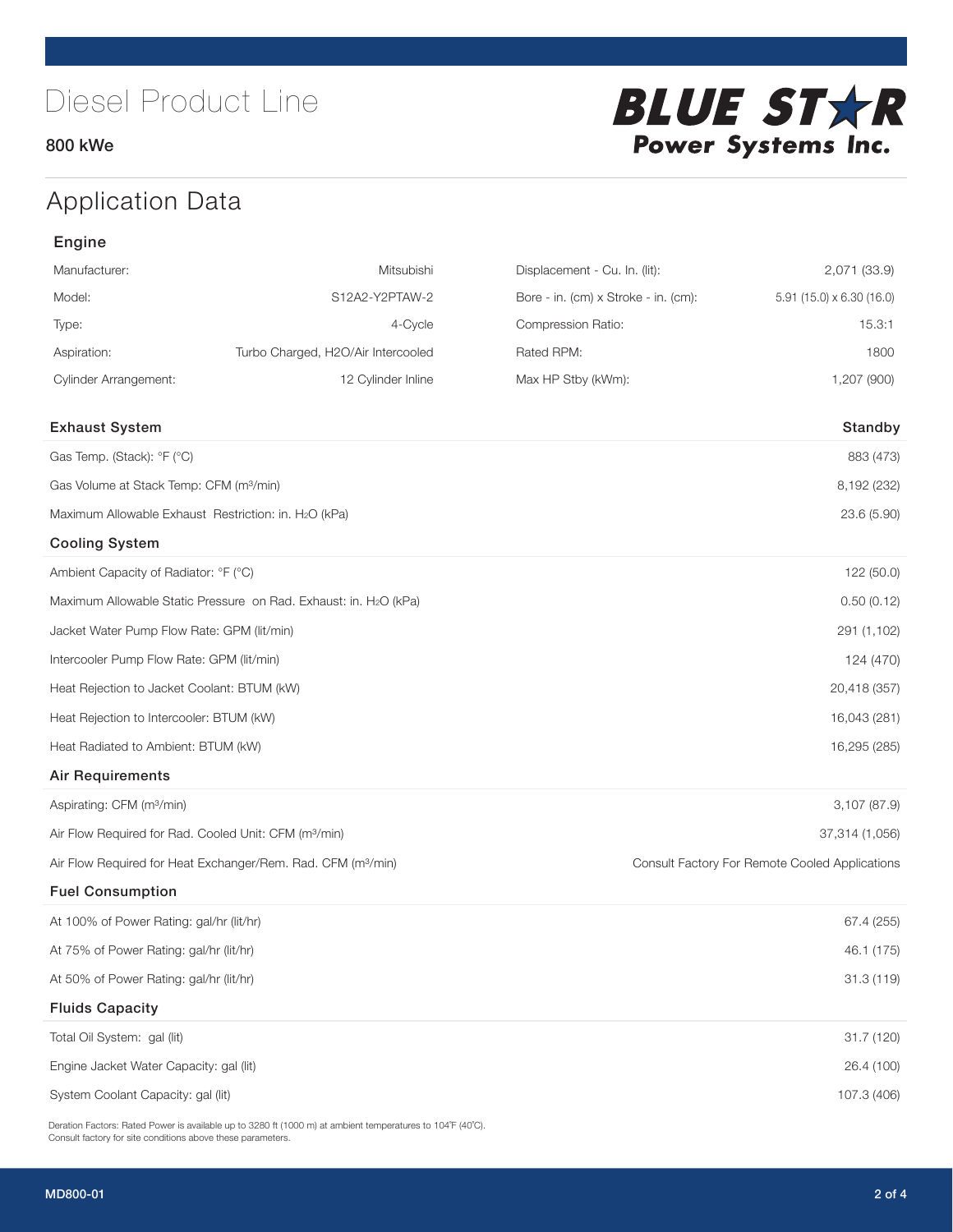### 800 kWe



# Application Data

| Manufacturer:                                                     | Mitsubishi                                                               | Displacement - Cu. In. (lit):        | 2,071 (33.9)                                   |
|-------------------------------------------------------------------|--------------------------------------------------------------------------|--------------------------------------|------------------------------------------------|
| Model:                                                            | S12A2-Y2PTAW-2                                                           | Bore - in. (cm) x Stroke - in. (cm): | $5.91$ (15.0) x 6.30 (16.0)                    |
| Type:                                                             | 4-Cycle                                                                  | Compression Ratio:                   | 15.3:1                                         |
| Aspiration:                                                       | Turbo Charged, H2O/Air Intercooled                                       | Rated RPM:                           | 1800                                           |
| <b>Cylinder Arrangement:</b>                                      | 12 Cylinder Inline                                                       | Max HP Stby (kWm):                   | 1,207 (900)                                    |
|                                                                   |                                                                          |                                      |                                                |
| <b>Exhaust System</b>                                             |                                                                          |                                      | Standby                                        |
| Gas Temp. (Stack): °F (°C)                                        |                                                                          |                                      | 883 (473)                                      |
| Gas Volume at Stack Temp: CFM (m <sup>3</sup> /min)               |                                                                          |                                      | 8,192 (232)                                    |
| Maximum Allowable Exhaust Restriction: in. H2O (kPa)              |                                                                          |                                      | 23.6 (5.90)                                    |
| <b>Cooling System</b>                                             |                                                                          |                                      |                                                |
| Ambient Capacity of Radiator: °F (°C)                             |                                                                          |                                      | 122 (50.0)                                     |
|                                                                   | Maximum Allowable Static Pressure on Rad. Exhaust: in. H2O (kPa)         |                                      | 0.50(0.12)                                     |
| Jacket Water Pump Flow Rate: GPM (lit/min)                        |                                                                          |                                      | 291 (1,102)                                    |
| Intercooler Pump Flow Rate: GPM (lit/min)                         |                                                                          |                                      | 124 (470)                                      |
| Heat Rejection to Jacket Coolant: BTUM (kW)                       |                                                                          |                                      | 20,418 (357)                                   |
| Heat Rejection to Intercooler: BTUM (kW)                          |                                                                          |                                      | 16,043 (281)                                   |
| Heat Radiated to Ambient: BTUM (kW)                               |                                                                          |                                      | 16,295 (285)                                   |
| <b>Air Requirements</b>                                           |                                                                          |                                      |                                                |
| Aspirating: CFM (m <sup>3</sup> /min)                             |                                                                          |                                      | 3,107 (87.9)                                   |
| Air Flow Required for Rad. Cooled Unit: CFM (m <sup>3</sup> /min) |                                                                          |                                      | 37,314 (1,056)                                 |
|                                                                   | Air Flow Required for Heat Exchanger/Rem. Rad. CFM (m <sup>3</sup> /min) |                                      | Consult Factory For Remote Cooled Applications |
| <b>Fuel Consumption</b>                                           |                                                                          |                                      |                                                |
| At 100% of Power Rating: gal/hr (lit/hr)                          |                                                                          |                                      | 67.4 (255)                                     |
| At 75% of Power Rating: gal/hr (lit/hr)                           |                                                                          |                                      | 46.1 (175)                                     |
| At 50% of Power Rating: gal/hr (lit/hr)                           |                                                                          |                                      | 31.3 (119)                                     |
| <b>Fluids Capacity</b>                                            |                                                                          |                                      |                                                |
| Total Oil System: gal (lit)                                       |                                                                          |                                      | 31.7 (120)                                     |
| Engine Jacket Water Capacity: gal (lit)                           |                                                                          |                                      | 26.4 (100)                                     |
| System Coolant Capacity: gal (lit)                                |                                                                          |                                      | 107.3 (406)                                    |

Deration Factors: Rated Power is available up to 3280 ft (1000 m) at ambient temperatures to 104°F (40°C). Consult factory for site conditions above these parameters.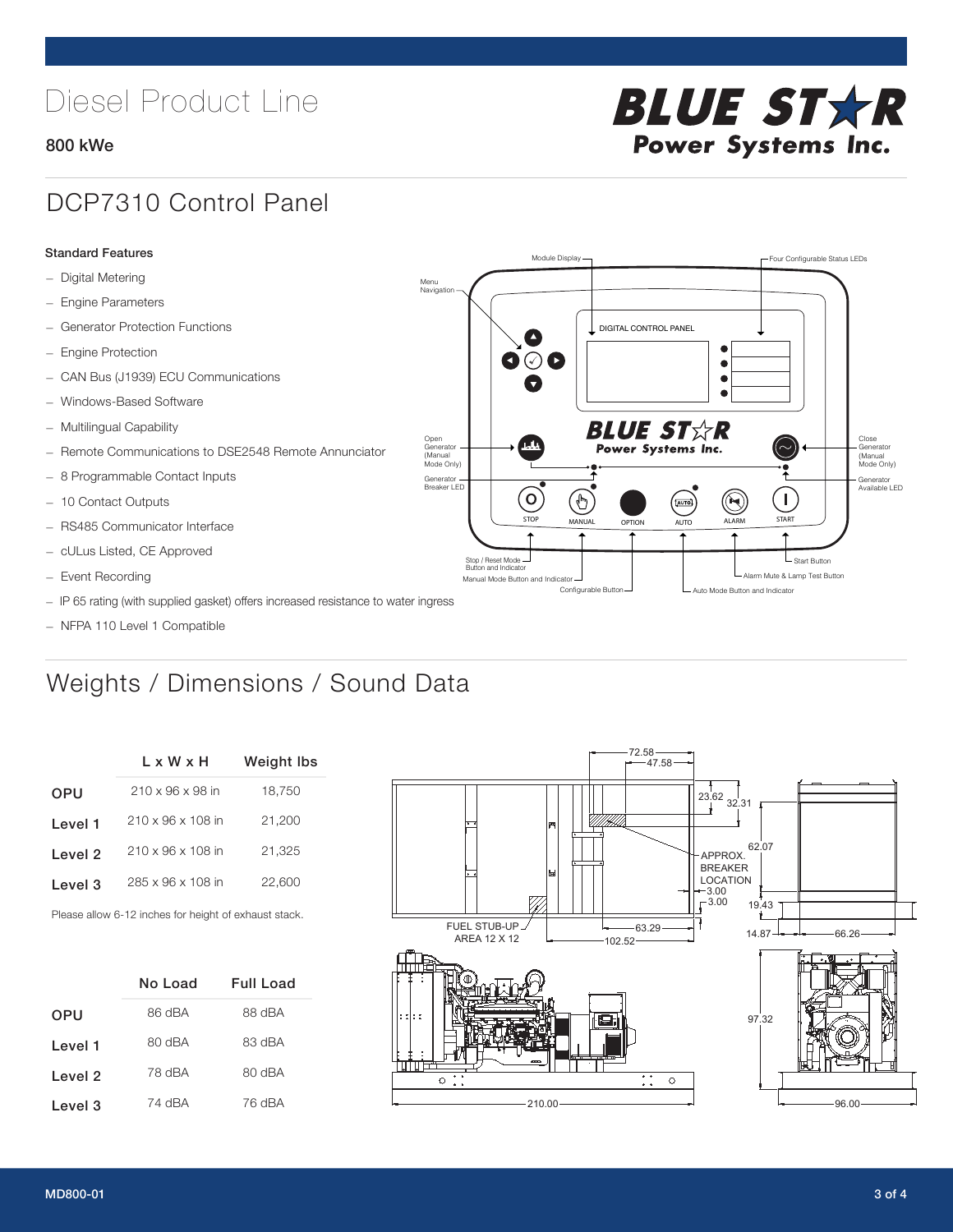# Diesel Product Line

### 800 kWe



## DCP7310 Control Panel

#### Standard Features

- Digital Metering
- Engine Parameters
- Generator Protection Functions
- Engine Protection
- CAN Bus (J1939) ECU Communications
- Windows-Based Software
- Multilingual Capability
- Remote Communications to DSE2548 Remote Annunciator
- 8 Programmable Contact Inputs
- 10 Contact Outputs
- RS485 Communicator Interface
- cULus Listed, CE Approved
- Event Recording
- IP 65 rating (with supplied gasket) offers increased resistance to water ingress
- NFPA 110 Level 1 Compatible

# Weights / Dimensions / Sound Data

|            | L x W x H                     | <b>Weight lbs</b> |
|------------|-------------------------------|-------------------|
| <b>OPU</b> | $210 \times 96 \times 98$ in  | 18,750            |
| Level 1    | 210 x 96 x 108 in             | 21,200            |
| Level 2    | $210 \times 96 \times 108$ in | 21.325            |
| Level 3    | 285 x 96 x 108 in             | 22,600            |
|            |                               |                   |

Please allow 6-12 inches for height of exhaust stack.

|            | No Load | Full Load |
|------------|---------|-----------|
| <b>OPU</b> | 86 dBA  | 88 dBA    |
| Level 1    | 80 dBA  | 83 dBA    |
| Level 2    | 78 dBA  | ARD 08    |
| Level 3    | 74 dBA  | 76 dBA    |



STOP MANUAL OPTION AUTO ALARM START

[AUTO]

**BLUE STAR** Power Systems Inc.

Manual Mode Button and Indicator Nutricus Council Council Council Council Alarm Mute & Lamp Test Button Manual Mode Button and Indicator Configurable Button -  $\Box$  Auto Mode Button and Indicator

DIGITAL CONTROL PANEL

Module Display  $\Box$ 

 $\bullet$  $\bullet$  $\bullet$ 

 $\circledcirc$ 

Menu Navigation

Open Generator (Manual Mode Only)

Generator Breaker LED

Stop / Reset Mode Button and Indicator

 $\bullet$   $\circ$   $\bullet$ 

 $\sigma$ 

 $\mathbf{r}$ 

Close Generator (Manual Mode Only)

Generator Available LED

- Start Button

 $\blacksquare$